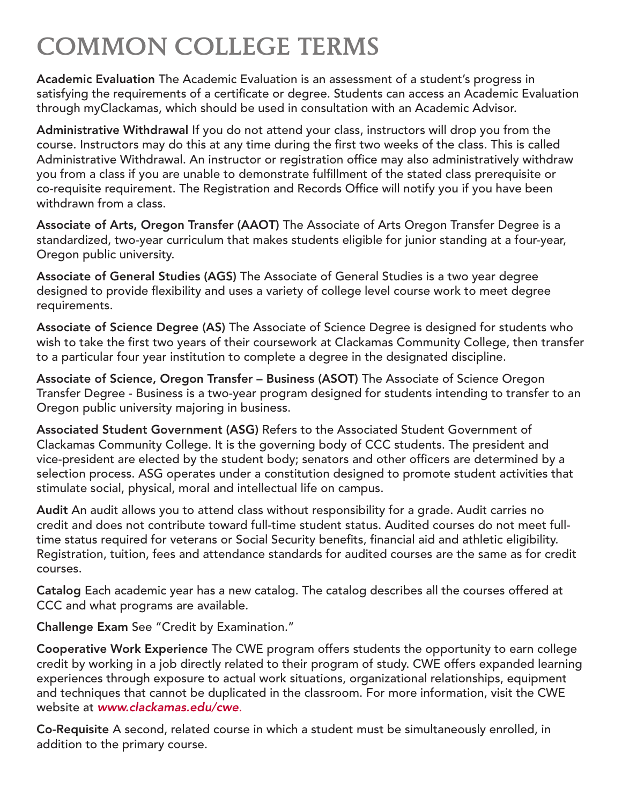## COMMON COLLEGE TERMS

Academic Evaluation The Academic Evaluation is an assessment of a student's progress in satisfying the requirements of a certificate or degree. Students can access an Academic Evaluation through myClackamas, which should be used in consultation with an Academic Advisor.

Administrative Withdrawal If you do not attend your class, instructors will drop you from the course. Instructors may do this at any time during the first two weeks of the class. This is called Administrative Withdrawal. An instructor or registration office may also administratively withdraw you from a class if you are unable to demonstrate fulfillment of the stated class prerequisite or co-requisite requirement. The Registration and Records Office will notify you if you have been withdrawn from a class.

Associate of Arts, Oregon Transfer (AAOT) The Associate of Arts Oregon Transfer Degree is a standardized, two-year curriculum that makes students eligible for junior standing at a four-year, Oregon public university.

Associate of General Studies (AGS) The Associate of General Studies is a two year degree designed to provide flexibility and uses a variety of college level course work to meet degree requirements.

Associate of Science Degree (AS) The Associate of Science Degree is designed for students who wish to take the first two years of their coursework at Clackamas Community College, then transfer to a particular four year institution to complete a degree in the designated discipline.

Associate of Science, Oregon Transfer – Business (ASOT) The Associate of Science Oregon Transfer Degree - Business is a two-year program designed for students intending to transfer to an Oregon public university majoring in business.

Associated Student Government (ASG) Refers to the Associated Student Government of Clackamas Community College. It is the governing body of CCC students. The president and vice-president are elected by the student body; senators and other officers are determined by a selection process. ASG operates under a constitution designed to promote student activities that stimulate social, physical, moral and intellectual life on campus.

Audit An audit allows you to attend class without responsibility for a grade. Audit carries no credit and does not contribute toward full-time student status. Audited courses do not meet fulltime status required for veterans or Social Security benefits, financial aid and athletic eligibility. Registration, tuition, fees and attendance standards for audited courses are the same as for credit courses.

Catalog Each academic year has a new catalog. The catalog describes all the courses offered at CCC and what programs are available.

Challenge Exam See "Credit by Examination."

Cooperative Work Experience The CWE program offers students the opportunity to earn college credit by working in a job directly related to their program of study. CWE offers expanded learning experiences through exposure to actual work situations, organizational relationships, equipment and techniques that cannot be duplicated in the classroom. For more information, visit the CWE website at *www.clackamas.edu/cwe*.

Co-Requisite A second, related course in which a student must be simultaneously enrolled, in addition to the primary course.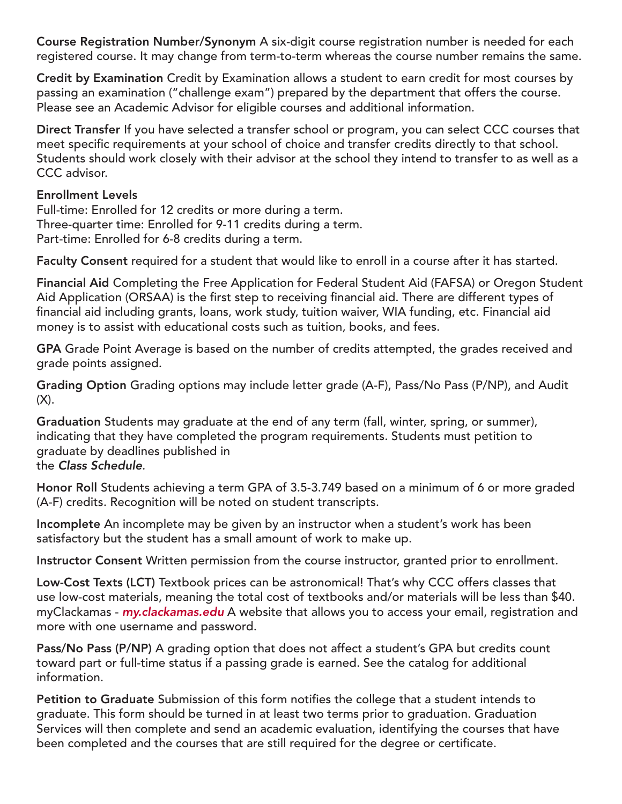Course Registration Number/Synonym A six-digit course registration number is needed for each registered course. It may change from term-to-term whereas the course number remains the same.

Credit by Examination Credit by Examination allows a student to earn credit for most courses by passing an examination ("challenge exam") prepared by the department that offers the course. Please see an Academic Advisor for eligible courses and additional information.

Direct Transfer If you have selected a transfer school or program, you can select CCC courses that meet specific requirements at your school of choice and transfer credits directly to that school. Students should work closely with their advisor at the school they intend to transfer to as well as a CCC advisor.

## Enrollment Levels

Full-time: Enrolled for 12 credits or more during a term. Three-quarter time: Enrolled for 9-11 credits during a term. Part-time: Enrolled for 6-8 credits during a term.

Faculty Consent required for a student that would like to enroll in a course after it has started.

Financial Aid Completing the Free Application for Federal Student Aid (FAFSA) or Oregon Student Aid Application (ORSAA) is the first step to receiving financial aid. There are different types of financial aid including grants, loans, work study, tuition waiver, WIA funding, etc. Financial aid money is to assist with educational costs such as tuition, books, and fees.

GPA Grade Point Average is based on the number of credits attempted, the grades received and grade points assigned.

Grading Option Grading options may include letter grade (A-F), Pass/No Pass (P/NP), and Audit  $(X)$ .

Graduation Students may graduate at the end of any term (fall, winter, spring, or summer), indicating that they have completed the program requirements. Students must petition to graduate by deadlines published in the *Class Schedule*.

Honor Roll Students achieving a term GPA of 3.5-3.749 based on a minimum of 6 or more graded (A-F) credits. Recognition will be noted on student transcripts.

Incomplete An incomplete may be given by an instructor when a student's work has been satisfactory but the student has a small amount of work to make up.

Instructor Consent Written permission from the course instructor, granted prior to enrollment.

Low-Cost Texts (LCT) Textbook prices can be astronomical! That's why CCC offers classes that use low-cost materials, meaning the total cost of textbooks and/or materials will be less than \$40. myClackamas - *[my.clackamas.edu](https://my.clackamas.edu/CookieAuth.dll?GetLogon?curl=Z2F&reason=0&formdir=3)* A website that allows you to access your email, registration and more with one username and password.

Pass/No Pass (P/NP) A grading option that does not affect a student's GPA but credits count toward part or full-time status if a passing grade is earned. See the catalog for additional information.

Petition to Graduate Submission of this form notifies the college that a student intends to graduate. This form should be turned in at least two terms prior to graduation. Graduation Services will then complete and send an academic evaluation, identifying the courses that have been completed and the courses that are still required for the degree or certificate.